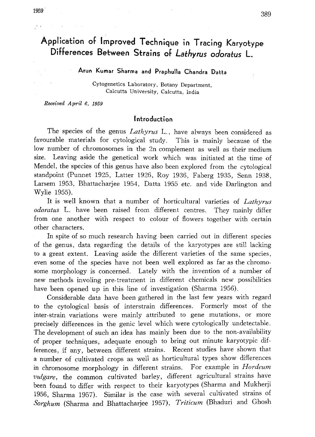# Application of Improved Technique in Tracing Karyotype Differences Between Strains of Lathyrus odoratus L.

Arun Kumar Sharma and Praphulla Chandra Datta

Cytogenetics Laboratory, Botany Department , Calcutta University, Calcutta, India

Received April 6, 1959

### Introduction

The species of the genus Lathyrus L., have always been considered as favourable materials for cytological study. This is mainly because of the low number of chromosomes in the 2n complement as well as their medium size. Leaving aside the genetical work which was initiated at the time of Mendel, the species of this genus have also been explored from the cytological standpoint (Punnet 1925, Latter 1926, Roy 1936, Faberg 1935, Senn 1938, Larsem 1953, Bhattacharjee 1954, Datta 1955 etc, and vide Darlington and Wylie 1955).

It is well known that a number of horticultural varieties of Lathyrus odoratus L. have been raised from different centres. They mainly differ from one another with respect to colour of flowers together with certain other characters.

In spite of so much research having been carried out in different species of the genus, data regarding the details of the karyotypes are still lacking to a great extent. Leaving aside the different varieties of the same species, even some of the species have not been well explored as far as the chromo some morphology is concerned. Lately with the invention of a number of new methods involing pre-treatment in different chemicals new possibilities have been opened up in this line of investigation (Sharma 1956).

Considerable data have been gathered in the last few years with regard to the cytological basis of interstrain differences. Formerly most of the inter-strain variations were mainly attributed to gene mutations, or more precisely differences in the genic level which were cytologically undetectable. The development of such an idea has mainly been due to the non-availability of proper techniques, adequate enough to bring out minute karyotypic dif ferences, if any, between different strains. Recent studies have shown that a number of cultivated crops as well as horticultural types show differences in chromosome morphology in different strains. For example in Hordeum vulgare, the common cultivated barley, different agricultural strains have been found to differ with respect to their karyotypes (Sharma and Mukherji 1956, Sharma 1957). Similar is the case with several cultivated strains of Sorghum (Sharma and Bhattacharjee 1957), Triticum (Bhaduri and Ghosh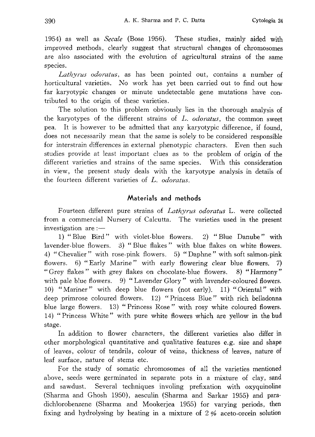1954) as well as Secale (Bose 1956). These studies, mainly aided with improved methods, clearly suggest that structural changes of chromosomes are also associated with the evolution of agricultural strains of the same species.

Lathyrus odoratus, as has been pointed out, contains a number of horticultural varieties. No work has yet been carried out to find out how far karyotypic changes or minute undetectable gene mutations have con tributed to the origin of these varieties.

The solution to this problem obviously lies in the thorough analysis of the karyotypes of the different strains of L. odoratus, the common sweet pea. It is however to be admitted that any karyotypic difference, if found, does not necessarily mean that the same is solely to be considered responsible for interstrain differences in external phenotypic characters. Even then such studies provide at least important clues as to the problem of origin of the different varieties and strains of the same species. With this consideration in view, the present study deals with the karyotype analysis in details of the fourteen different varieties of L. odoratus.

### Materials and methods

Fourteen different pure strains of Lathyrus odoratus L. were collected from a commercial Nursery of Calcutta. The varieties used in the present investigation are:

-1) "Blue Bird" with violet-blue flowers. 2) "Blue Danube" with lavender-blue flowers. 3) "Blue flakes" with blue flakes on white flowers. 4) "Chevalier" with rose-pink flowers. 5) "Daphne" with soft salmon-pink flowers. 6) "Early Marine" with early flowering clear blue flowers. 7) "Grey flakes" with grey flakes on chocolate -blue flowers. 8) "Harmony" with pale blue flowers. 9) "Lavender Glory" with lavender-coloured flowers. 10) "Mariner" with deep blue flowers (not early). 11) "Oriental" with deep primrose coloured flowers. 12) "Princess Blue" with rich belladonna blue large flowers. 13) "Princess Rose" with rosy white coloured flowers. 14) "Princess White" with pure white flowers which are yellow in the bud stage.

In addition to flower characters, the different varieties also differ in other morphological quantitative and qualitative features e.g. size and shape of leaves, colour of tendrils, colour of veins, thickness of leaves, nature of leaf surface, nature of stems etc.

For the study of somatic chromosomes of all the varieties mentioned above, seeds were germinated in separate pots in a mixture of clay, sand and sawdust. Several techniques involing prefixation with oxyquinoline (Sharma and Ghosh 1950), aesculin (Sharma and Sarkar 1955) and para dichlorobenzene (Sharma and Mookerjea 1955) for varying periods, then fixing and hydrolysing by heating in a mixture of  $2\%$  aceto-orcein solution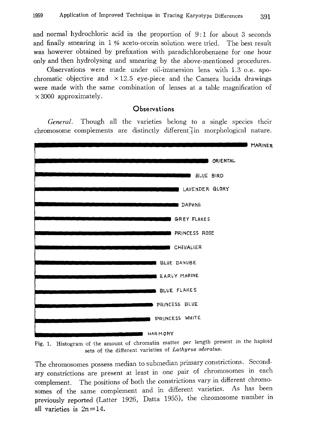and normal hydrochloric acid in the proportion of 9:1 for about 3 seconds and finally smearing in 1% aceto-orcein solution were tried. The best result was however obtained by prefixation with paradichlorobenzene for one hour only and then hydrolysing and smearing by the above-mentioned procedures.

Observations were made under oil-immersion lens with 1.3 o.e. apochromatic objective and  $\times$ 12.5 eye-piece and the Camera lucida drawings were made with the same combination of lenses at a table magnification of  $\times$  3000 approximately.

**Observations** 

General. Though all the varieties belong to a single species their chromosome complements are distinctly different in morphological nature.



Fig. 1. Histogram of the amount of chromatin matter per length present in the haploid sets of the different varieties of Lathyrus odoratus.

The chromosomes possess median to submedian primary constrictions. Second ary constrictions are present at least in one pair of chromosomes in each complement. The positions of both the constrictions vary in different chromo somes of the same complement and in different varieties. As has been previously reported (Latter 1926, Datta 1955), the chromosome number in all varieties is  $2n=14$ .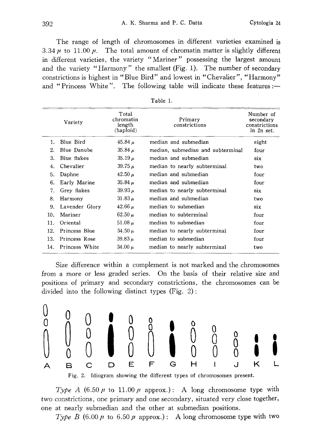The range of length of chromosomes in different varieties examined is 3.34  $\mu$  to 11.00  $\mu$ . The total amount of chromatin matter is slightly different in different varieties, the variety "Mariner" possessing the largest amount and the variety "Harmony" the smallest (Fig. 1). The number of secondary constrictions is highest in "Blue Bird" and lowest in "Chevalier", "Harmony" and "Princess White". The following table will indicate these features:-

|                | Variety        | Total<br>chromatin<br>length<br>(haploid) | Primary<br>constrictions          | Number of<br>secondary<br>constrictions<br>in 2n set. |
|----------------|----------------|-------------------------------------------|-----------------------------------|-------------------------------------------------------|
| $\mathbf{1}$ . | Blue Bird      | 45.84 $\mu$                               | median and submedian              | eight                                                 |
| 2.             | Blue Danube    | 35.84 $\mu$                               | median, submedian and subterminal | four                                                  |
| 3.             | Blue flakes    | $35.19 \mu$                               | median and submedian              | six                                                   |
| 4.             | Chevalier      | 39.75 $\mu$                               | median to nearly subterminal      | two                                                   |
| 5.             | Daphne         | 42.50 $\mu$                               | median and submedian              | four                                                  |
| 6.             | Early Marine   | 35.84 $\mu$                               | median and submedian              | four                                                  |
| 7.             | Grey flakes    | 39.93 $\mu$                               | median to nearly subterminal      | six                                                   |
| 8.             | Harmony        | $31.83 \mu$                               | median and submedian              | two                                                   |
| 9.             | Lavender Glory | $42.66 \mu$                               | median to submedian               | six                                                   |
| 10.            | Mariner        | $62.50 \mu$                               | median to subterminal             | four                                                  |
| 11.            | Oriental       | 51.08 $\mu$                               | median to submedian               | four                                                  |
| 12.            | Princess Blue  | 34.50 $\mu$                               | median to nearly subterminal      | four                                                  |
| 13.            | Princess Rose  | 39.83 $\mu$                               | median to submedian               | four                                                  |
| 14.            | Princess White | 34.00 $\mu$                               | median to nearly subterminal      | two                                                   |

|  | `able |  |  |
|--|-------|--|--|
|  |       |  |  |

Size difference within a complement is not marked and the chromosomes from a more or less graded series. On the basis of their relative size and positions of primary and secondary constrictions, the chromosomes can be divided into the following distinct types (Fig. 2):



Fig. 2. Idiogram showing the different types of chromosomes present.

Type A  $(6.50 \mu \text{ to } 11.00 \mu \text{ approx.})$ : A long chromosome type with two constrictions, one primary and one secondary, situated very close together, one at nearly submedian and the other at submedian positions.

Type B  $(6.00 \mu \text{ to } 6.50 \mu \text{ approx.})$ : A long chromosome type with two.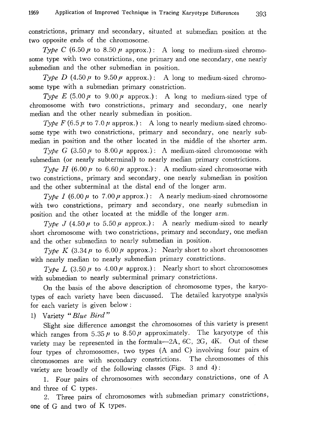constrictions, primary and secondary, situated at submedian position at the two opposite ends of the chromosome.

Type C (6.50  $\mu$  to 8.50  $\mu$  approx.): A long to medium-sized chromosome type with two constrictions, one primary and one secondary, one nearly submedian and the other submedian in position.

Type D (4.50  $\mu$  to 9.50  $\mu$  approx.): A long to medium-sized chromosome type with a submedian primary constriction.

Type E (5.00  $\mu$  to 9.00  $\mu$  approx.): A long to medium-sized type of chromosome with two constrictions, primary and secondary, one nearly median and the other nearly submedian in position.

Type F (6.5  $\mu$  to 7.0  $\mu$  approx.): A long to nearly medium-sized chromosome type with two constrictions, primary and secondary, one nearly sub median in position and the other located in the middle of the shorter arm.

Type G (3.50  $\mu$  to 8.00  $\mu$  approx.): A medium-sized chromosome with submedian (or nearly subterminal) to nearly median primary constrictions.

Type H  $(6.00 \mu)$  to 6.60  $\mu$  approx.): A medium-sized chromosome with two constrictions, primary and secondary, one nearly submedian in position and the other subterminal at the distal end of the longer arm.

Type I (6.00  $\mu$  to 7.00  $\mu$  approx.): A nearly medium-sized chromosome with two constrictions, primary and secondary, one nearly submedian in position and the other located at the middle of the longer arm.

Type J (4.50  $\mu$  to 5.50  $\mu$  approx.): A nearly medium-sized to nearly short chromosome with two constrictions, primary and secondary, one median and the other submedian to nearly submedian in position.

Type K  $(3.34 \mu \text{ to } 6.00 \mu \text{ approx.})$ : Nearly short to short chromosomes with nearly median to nearly submedian primary constrictions.

Type L (3.50  $\mu$  to 4.00  $\mu$  approx.): Nearly short to short chromosomes with submedian to nearly subterminal primary constrictions.

On the basis of the above description of chromosome types, the karyo types of each variety have been discussed. The detailed karyotype analysis for each variety is given below:

1) Variety "Blue Bird"

Slight size difference amongst the chromosomes of this variety is present which ranges from 5.35  $\mu$  to 8.50  $\mu$  approximately. The karyotype of this variety may be represented in the formula-2A, 6C, 2G, 4K. Out of these four types of chromosomes, two types (A and C) involving four pairs of chromosomes are with secondary constrictions. The chromosomes of this variety are broadly of the following classes (Figs. 3 and 4):

1. Four pairs of chromosomes with secondary constrictions, one of A and three of C types.

2. Three pairs of chromosomes with submedian primary constrictions, one of G and two of K types.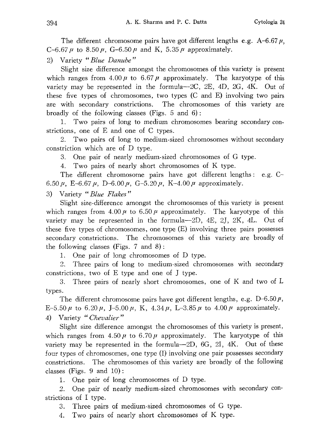The different chromosome pairs have got different lengths e.g. A-6.67 $\mu$ , C-6.67  $\mu$  to 8.50  $\mu$ , G-6.50  $\mu$  and K, 5.35  $\mu$  approximately.

2) Variety "Blue Danube"

Slight size difference amongst the chromosomes of this variety is present which ranges from  $4.00 \mu$  to 6.67  $\mu$  approximately. The karyotype of this variety may be represented in the formula $-2C$ ,  $2E$ ,  $4D$ ,  $2G$ ,  $4K$ . Out of these five types of chromosomes, two types (C and E) involving two pairs are with secondary constrictions. The chromosomes of this variety are broadly of the following classes (Figs. 5 and 6):

1. Two pairs of long to medium chromosomes bearing secondary con. strictions, one of E and one of C types.

2. Two pairs of long to medium-sized chromosomes without secondary constriction which are of D type.

3. One pair of nearly medium-sized chromosomes of G type.

4. Two pairs of nearly short chromosomes of K type.

The different chromosome pairs have got different lengths: e.g.  $C$ -6.50  $\mu$ , E-6.67  $\mu$ , D-6.00  $\mu$ , G-5.20  $\mu$ , K-4.00  $\mu$  approximately.

3) Variety "Blue Flakes"

Slight size-difference amongst the chromosomes of this variety is present which ranges from  $4.00 \mu$  to 6.50  $\mu$  approximately. The karyotype of this variety may be represented in the formula-2D, 4E, 2J, 2K, 4L. Out of these five types of chromosomes, one type (E) involving three pairs possesses secondary constrictions. The chromosomes of this variety are broadly of the following classes (Figs. 7 and 8):

1. One pair of long chromosomes of D type.

2. Three pairs of long to medium-sized chromosomes with secondary constrictions, two of E type and one of J type.

3. Three pairs of nearly short chromosomes, one of K and two of L types.

The different chromosome pairs have got different lengths, e.g.  $D$ -6.50 $\mu$ , E-5.50  $\mu$  to 6.20  $\mu$ , J-5.00  $\mu$ , K, 4.34  $\mu$ , L-3.85  $\mu$  to 4.00  $\mu$  approximately. 4) Variety "Chevalier"

Slight size difference amongst the chromosomes of this variety is present, which ranges from  $4.50 \mu$  to  $6.70 \mu$  approximately. The karyotype of this variety may be represented in the formula-2D, 6G, 2I, 4K. Out of these four types of chromosomes, one type (I) involving one pair possesses secondary constrictions. The chromosomes of this variety are broadly of the following classes (Figs. 9 and 10):

1. One pair of long chromosomes of D type.

2. One pair of nearly medium-sized chromosomes with secondary con strictions of I type.

3. Three pairs of medium-sized chromosomes of G type.

4. Two pairs of nearly short chromosomes of K type.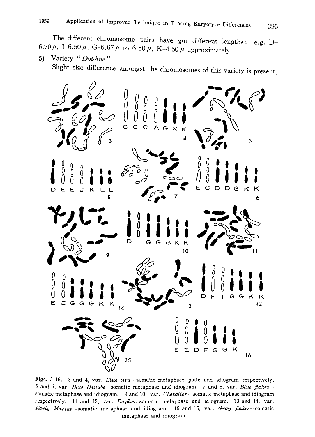The different chromosome pairs have got different lengths; e.g. I 6.70 $\mu$ , I-6.50 $\mu$ , G-6.67 $\mu$  to 6.50 $\mu$ , K-4.50 $\mu$  approximately.

5) Variety "Dophne"

Slight size difference amongst the chromosomes of this variety is pres



Figs. 3-16. 3 and 4, var. Blue bird-somatic metaphase plate and idiogram respectively. 5 and 6, var. Blue Danube-somatic metaphase and idiogram. 7 and 8, var. Blue flakessomatic metaphase and idiogram. 9 and 10, var. Chevalier-somatic metaphase and idiogram respectively. 11 and 12, var. Daphne somatic metaphase and idiogram. 13 and 14, var. Early Marine-somatic metaphase and idiogram. 15 and 16, var. Gray flakes-somatic metaphase and idiogram.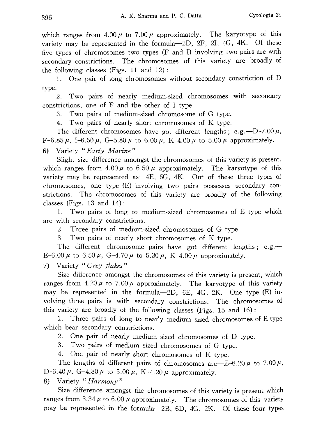which ranges from  $4.00 \mu$  to  $7.00 \mu$  approximately. The karyotype of this variety may be represented in the formula-2D, 2F, 2I, 4G, 4K. Of these five types of chromosomes two types  $(F \text{ and } I)$  involving two pairs are with secondary constrictions. The chromosomes of this variety are broadly of the following classes (Figs. 11 and 12):

1. One pair of long chromosomes without secondary constriction of D type.

2. Two pairs of nearly medium-sized chromosomes with secondary constrictions, one of F and the other of I type.

3. Two pairs of medium-sized chromosome of G type.

4. Two pairs of nearly short chromosomes of K type.

The different chromosomes have got different lengths; e.g.  $-D-7.00 \mu$ , F-6.85  $\mu$ , I-6.50  $\mu$ , G-5.80  $\mu$  to 6.00  $\mu$ , K-4.00  $\mu$  to 5.00  $\mu$  approximately.

6) Variety "Early Marine"

Slight size difference amongst the chromosomes of this variety is present, which ranges from 4.00  $\mu$  to 6.50  $\mu$  approximately. The karyotype of this variety may be represented as  $-4E$ , 6G, 4K. Out of these three types of chromosomes, one type (E) involving two pairs possesses secondary con strictions. The chromosomes of this variety are broadly of the following classes (Figs.  $13$  and  $14$ ):

1. Two pairs of long to medium-sized chromosomes of E type which are with secondary constrictions.

2. Three pairs of medium-sized chromosomes of G type.

3. Two pairs of nearly short chromosomes of K type.

The different chromosome pairs have got different lengths; e.g.— E-6.00  $\mu$  to 6.50  $\mu$ , G-4.70  $\mu$  to 5.30  $\mu$ , K-4.00  $\mu$  approximately.

7) Variety "Grey flakes"

Size difference amongst the chromosomes of this variety is present, which ranges from  $4.20 \mu$  to  $7.00 \mu$  approximately. The karyotype of this variety may be represented in the formula- $-2D$ , 6E, 4G, 2K. One type (E) involving three pairs is with secondary constrictions. The chromosomes of this variety are broadly of the following classes (Figs. 15 and 16):

1. Three pairs of long to nearly medium sized chromosomes of E type which bear secondary constrictions.

2. One pair of nearly medium sized chromosomes of D type.

3. Two pairs of medium sized chromosomes of G type.

4. One pair of nearly short chromosomes of K type.

The lengths of different pairs of chromosomes are—E-6.20  $\mu$  to 7.00  $\mu$ , D-6.40 $\mu$ , G-4.80 $\mu$  to 5.00 $\mu$ , K-4.20 $\mu$  approximately.

8) Variety "Harmony"

Size difference amongst the chromosomes of this variety is present which ranges from  $3.34 \mu$  to  $6.00 \mu$  approximately. The chromosomes of this variety may be represented in the formula-2B, 6D, 4G, 2K. Of these four types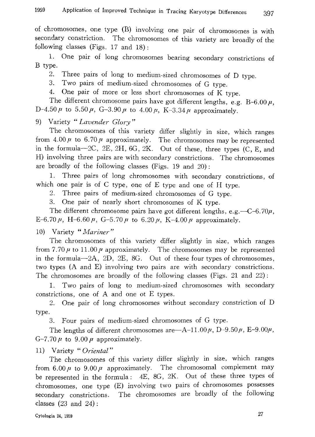of chromosomes, one type (B) involving one pair of chromosomes is with secondary constriction. The chromosomes of this variety are broadly of the following classes (Figs. 17 and 18):

1. One pair of long chromosomes bearing secondary constrictions of B type.

2. Three pairs of long to medium-sized chromosomes of D type .

3. Two pairs of medium-sized chromosomes of G type .

4. One pair of more or less short chromosomes of K type .

The different chromosome pairs have got different lengths, e.g.  $B-6.0$ D-4.50  $\mu$  to 5.50  $\mu$ , G-3.90  $\mu$  to 4.00  $\mu$ , K-3.34  $\mu$  approximately.

9) Variety "Lavender Glory"

The chromosomes of this variety differ slightly in size, which rangely from 4.00  $\mu$  to 6.70  $\mu$  approximately. The chromosomes may be represented in the formula-2C, 2E, 2H, 6G, 2K. Out of these, three types (C, E, and H) involving three pairs are with secondary constrictions. The chromosomes are broadly of the following classes (Figs. 19 and 20):

1. Three pairs of long chromosomes with secondary constrictions, or which one pair is of C type, one of E type and one of H type.

2. Three pairs of medium-sized chromosomes of G type.

3. One pair of nearly short chromosomes of K type.

The different chromosome pairs have got different lengths, e.g.  $-C$ -6.70 $\mu$ , E-6.70  $\mu$ , H-6.60  $\mu$ , G-5.70  $\mu$  to 6.20  $\mu$ , K-4.00  $\mu$  approximately.

10) Variety "Mariner"

The chromosomes of this variety differ slightly in size, which ranges from 7.70  $\mu$  to 11.00  $\mu$  approximately. The chromosomes may be represented in the formula-2A, 2D, 2E, 8G. Out of these four types of chromosomes, two types (A and E) involving two pairs are with secondary constrictions. The chromosomes are broadly of the following classes (Figs. 21 and 22):

1. Two pairs of long to medium-sized chromosomes with secondary constrictions, one of A and one of E types.

2. One pair of long chromosomes without secondary constriction of D type.

3. Four pairs of medium-sized chromosomes of G type.

The lengths of different chromosomes are  $-A-11.00\,\mu$ , D-9.50 $\mu$ , E-9.00 $\mu$ , G-7.70  $\mu$  to 9.00  $\mu$  approximately.

11) Variety "Oriental"

The chromosomes of this variety differ slightly in size, which ranges from  $6.00\,\mu$  to  $9.00\,\mu$  approximately. The chromosomal complement may be represented in the formula: 4E, 8G, 2K. Out of these three types of chromosomes, one type (E) involving two pairs of chromosomes possesses secondary constrictions. The chromosomes are broadly of the following classes  $(23 \text{ and } 24)$ :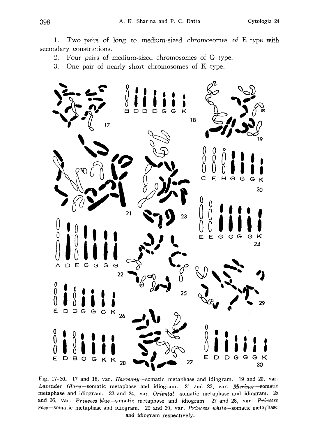1. Two pairs of long to medium-sized chromosomes of E type with secondary constrictions.

2. Four pairs of medium-sized chromosomes of G type.

3. One pair of nearly short chromosomes of K type.



Fig. 17-30. 17 and 18, var. Harmony-somatic metaphase and idiogram. 19 and 20, var. Lavender Glory-somatic metaphase and idiogram. 21 and 22, var. Mariner-somatic metaphase and idiogram. 23 and 24, var. Oriental-somatic metaphase and idiogram. 25 and 26, var. Princess blue-somatic metaphase and idiogram. 27 and 28, var. Princess rose-somatic metaphase and idiogram. 29 and 30, var. Princess white-somatic metaphase and idiogram respectively.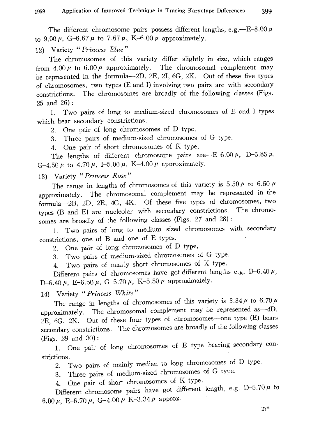The different chromosome pairs possess different lengths, e.g.  $-E$ -8.00  $\mu$ to 9.00  $\mu$ , G-6.67  $\mu$  to 7.67  $\mu$ , K-6.00  $\mu$  approximately.

12) Variety "Princess Elue"

The chromosomes of this variety differ slightly in size, which ranges from  $4.00 \mu$  to 6.00  $\mu$  approximately. The chromosomal complement may be represented in the formula-2D, 2E, 21, 6G, 2K. Out of these five types of chromosomes, two types (E and I) involving two pairs are with secondary constrictions. The chromosomes are broadly of the following classes (Figs. 25 and 26):

1. Two pairs of long to medium-sized chromosomes of E and I types which bear secondary constrictions.

2. One pair of long chromosomes of D type.

3. Three pairs of medium-sized chromosomes of G type.

4. One pair of short chromosomes of K type.

The lengths of different chromosome pairs are- $E$ -6.00 $\mu$ , D-5.85 $\mu$ , G-4.50  $\mu$  to 4.70  $\mu$ , I-5.00  $\mu$ , K-4.00  $\mu$  approximately.

# 13) Variety "Princess Rose"

The range in lengths of chromosomes of this variety is 5.50  $\mu$  to 6.50  $\mu$ approximately. The chromosomal complement may be represented in the formula-2B, 2D, 2E, 4G, 4K. Of these five types of chromosomes, two types (B and E) are nucleolar with secondary constrictions. The chromo somes are broadly of the following classes (Figs. 27 and 28):

1. Two pairs of long to medium sized chromosomes with secondary constrictions, one of B and one of E types.

2. One pair of long chromosomes of D type.

3. Two pairs of medium-sized chromosomes of G type.

4. Two pairs of nearly short chromosomes of K type.

Different pairs of chromosomes have got different lengths e.g. B-6.40  $\mu$ , D-6.40  $\mu$ , E-6.50  $\mu$ , G-5.70  $\mu$ , K-5.50  $\mu$  approximately.

14) Variety "Princess White"

The range in lengths of chromosomes of this variety is  $3.34\,\mu$  to 6.70  $\mu$ approximately. The chromosomal complement may be represented as  $-4D$ , 2E, 6G, 2K. Out of these four types of chromosomes-one type (E) bears secondary constrictions. The chromosomes are broadly of the following classes (Figs.  $25$  and  $30$ 

1. One pair of long chromosomes of  $E_{\rm F}$  secondary secondary secondary secondary conditions see  $\sim$ strictions.

2. Two pairs of mainly median to long chromosomes of D type.

3. Three pairs of medium-sized chromosomes of G type.

4. One pair of short chromosomes of  $\sim$   $\sim$  $D$ ifferent chromosome pairs have  $S^{\text{S}}$ 6.00  $\mu$ , E-6.70  $\mu$ , G-4.00  $\mu$  K-3.34  $\mu$  approx.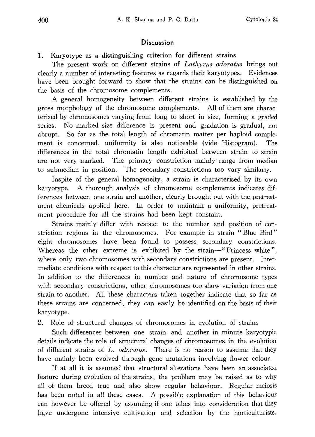## **Discussion**

1. Karyotype as a distinguishing criterion for different strains

The present work on different strains of Lathyrus odoratus brings out clearly a number of interesting features as regards their karyotypes. Evidences have been brought forward to show that the strains can be distinguished on the basis of the chromosome complements.

A general homogeneity between different strains is established by the gross morphology of the chromosome complements. All of them are charac terized by chromosomes varying from long to short in size, forming a graded series. No marked size difference is present and gradation is gradual, not abrupt. So far as the total length of chromatin matter per haploid comple ment is concerned, uniformity is also noticeable (vide Histogram). The differences in the total chromatin length exhibited between strain to strain are not very marked. The primary constriction mainly range from median to submedian in position. The secondary constrictions too vary similarly.

Inspite of the general homogeneity, a strain is characterised by its own karyotype. A thorough analysis of chromosome complements indicates dif ferences between one strain and another, clearly brought out with the pretreat ment chemicals applied here. In order to maintain a uniformity, pretreat ment procedure for all the strains had been kept constant.

Strains mainly differ with respect to the number and position of con striction regions in the chromosomes. For example in strain "Blue Bird" eight chromosomes have been found to possess secondary constrictions. Whereas the other extreme is exhibited by the strain-"Princess white", where only two chromosomes with secondary constrictions are present. Intermediate conditions with respect to this character are represented in other strains. In addition to the differences in number and nature of chromosome types with secondary constrictions, other chromosomes too show variation from one strain to another. All these characters taken together indicate that so far as these strains are concerned, they can easily be identified on the basis of their karyotype.

2. Role of structural changes of chromosomes in evolution of strains

Such differences between one strain and another in minute karyotypic details indicate the role of structural changes of chromosomes in the evolution of different strains of L. odoratus. There is no reason to assume that they have mainly been evolved through gene mutations involving flower colour.

If at all it is assumed that structural alterations have been an associated feature during evolution of the strains, the problem may be raised as to why all of them breed true and also show regular behaviour. Regular meiosis has been noted in all these cases. A possible explanation of this behaviour can however be offered by assuming if one takes into consideration that they have undergone intensive cultivation and selection by the horticulturists.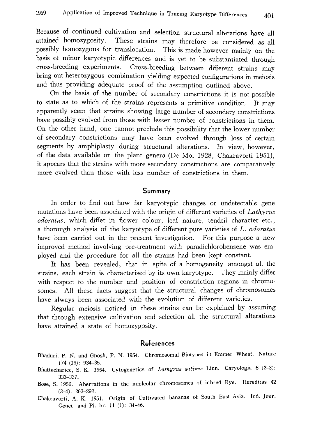Because of continued cultivation and selection structural alterations have all attained homozygosity. These strains may therefore be considered as all possibly homozygous for translocation. This is made however mainly on the basis of minor karyotypic differences and is yet to be substantiated through cross-breeding experiments. Cross-breeding between different strains may bring out heterozygous combination yielding expected configurations in meiosis and thus providing adequate proof of the assumption outlined above.

On the basis of the number of secondary constrictions it is not possible to state as to which of the strains represents a primitive condition. It may apparently seem that strains showing large number of secondary constrictions have possibly evolved from those with lesser number of constrictions in them. On the other hand, one cannot preclude this possibility that the lower number of secondary constrictions may have been evolved through loss of certain segments by amphiplasty during structural alterations. In view, however, of the data available on the plant genera (De Mol 1928, Chakravorti 1951), it appears that the strains with more secondary constrictions are comparatively more evolved than those with less number of constrictions in them.

#### Summary

In order to find out how far karyotypic changes or undetectable gene mutations have been associated with the origin of different varieties of Lathyrus odoratus, which differ in flower colour, leaf nature, tendril character etc., a thorough analysis of the karyotype of different pure varieties of L. odoratus have been carried out in the present investigation. For this purpose a new improved method involving pre-treatment with paradichlorobenzene was em ployed and the procedure for all the strains had been kept constant.

It has been revealed, that in spite of a homogeneity amongst all the strains, each strain is characterised by its own karyotype. They mainly differ with respect to the number and position of constriction regions in chromosomes. All these facts suggest that the structural changes of chromosomes have always been associated with the evolution of different varieties.

Regular meiosis noticed in these strains can be explained by assuming that through extensive cultivation and selection all the structural alterations have attained a state of homozygosity.

### References

- Bhaduri, P. N. and Ghosh, P. N. 1954. Chromosomal Biotypes in Emmer Wheat. Nature 174 (13): 934-35.
- Bhattacharjee, S. K. 1954. Cytogenetics of Lathyrus sativus Linn. Caryologia 6 (2-3): 333-337.
- Bose, S. 1956. Aberrations in the nucleolar chromosomes of inbred Rye. Hereditas 42 (3-4): 263-292.
- Chakravorti, A. K. 1951. Origin of Cultivated bananas of South East Asia. Ind. Jour. Genet. and Pl. br. 11 (1): 34-46.